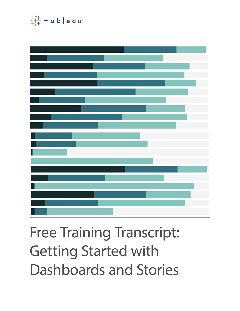

# Free Training Transcript: Getting Started with Dashboards and Stories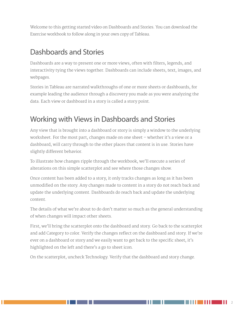Welcome to this getting started video on Dashboards and Stories. You can download the Exercise workbook to follow along in your own copy of Tableau.

#### Dashboards and Stories

Dashboards are a way to present one or more views, often with filters, legends, and interactivity tying the views together. Dashboards can include sheets, text, images, and webpages.

Stories in Tableau are narrated walkthroughs of one or more sheets or dashboards, for example leading the audience through a discovery you made as you were analyzing the data. Each view or dashboard in a story is called a story point.

## Working with Views in Dashboards and Stories

Any view that is brought into a dashboard or story is simply a window to the underlying worksheet. For the most part, changes made on one sheet – whether it's a view or a dashboard, will carry through to the other places that content is in use. Stories have slightly different behavior.

To illustrate how changes ripple through the workbook, we'll execute a series of alterations on this simple scatterplot and see where those changes show.

Once content has been added to a story, it only tracks changes as long as it has been unmodified on the story. Any changes made to content in a story do not reach back and update the underlying content. Dashboards do reach back and update the underlying content.

The details of what we're about to do don't matter so much as the general understanding of when changes will impact other sheets.

First, we'll bring the scatterplot onto the dashboard and story. Go back to the scatterplot and add Category to color. Verify the changes reflect on the dashboard and story. If we're ever on a dashboard or story and we easily want to get back to the specific sheet, it's highlighted on the left and there's a go to sheet icon.

On the scatterplot, uncheck Technology. Verify that the dashboard and story change.